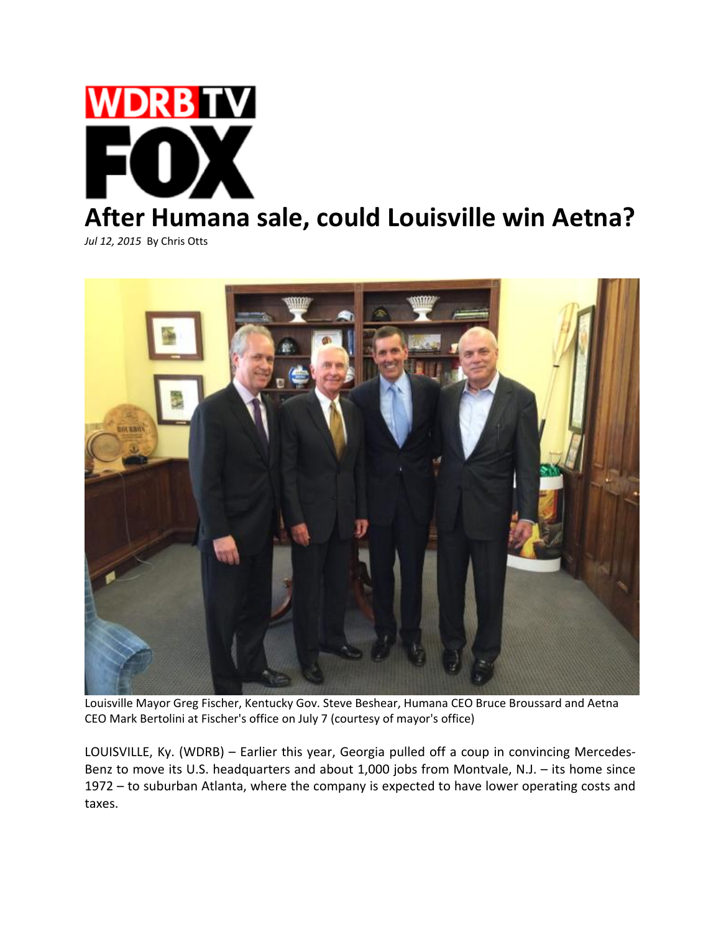

*Jul 12, 2015* By Chris Otts



Louisville Mayor Greg Fischer, Kentucky Gov. Steve Beshear, Humana CEO Bruce Broussard and Aetna CEO Mark Bertolini at Fischer's office on July 7 (courtesy of mayor's office)

LOUISVILLE, Ky. (WDRB) – Earlier this year, Georgia pulled off a coup in convincing Mercedes‐ Benz to move its U.S. headquarters and about 1,000 jobs from Montvale, N.J. – its home since 1972 – to suburban Atlanta, where the company is expected to have lower operating costs and taxes.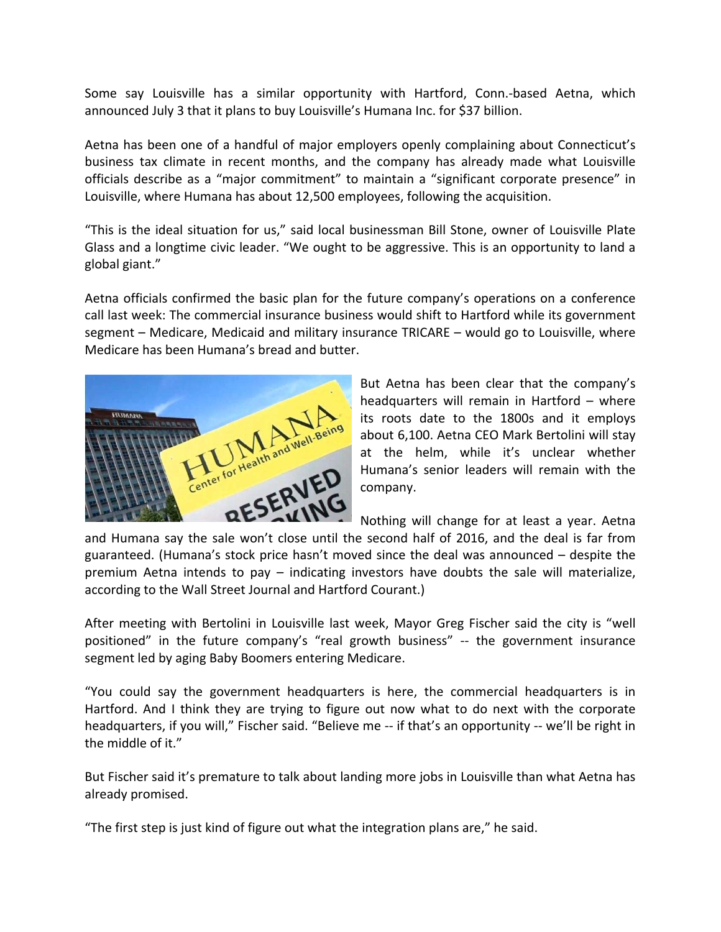Some say Louisville has a similar opportunity with Hartford, Conn.‐based Aetna, which announced July 3 that it plans to buy Louisville's Humana Inc. for \$37 billion.

Aetna has been one of a handful of major employers openly complaining about Connecticut's business tax climate in recent months, and the company has already made what Louisville officials describe as a "major commitment" to maintain a "significant corporate presence" in Louisville, where Humana has about 12,500 employees, following the acquisition.

"This is the ideal situation for us," said local businessman Bill Stone, owner of Louisville Plate Glass and a longtime civic leader. "We ought to be aggressive. This is an opportunity to land a global giant."

Aetna officials confirmed the basic plan for the future company's operations on a conference call last week: The commercial insurance business would shift to Hartford while its government segment – Medicare, Medicaid and military insurance TRICARE – would go to Louisville, where Medicare has been Humana's bread and butter.



But Aetna has been clear that the company's headquarters will remain in Hartford – where its roots date to the 1800s and it employs about 6,100. Aetna CEO Mark Bertolini will stay at the helm, while it's unclear whether Humana's senior leaders will remain with the company.

Nothing will change for at least a year. Aetna

and Humana say the sale won't close until the second half of 2016, and the deal is far from guaranteed. (Humana's stock price hasn't moved since the deal was announced – despite the premium Aetna intends to pay – indicating investors have doubts the sale will materialize, according to the Wall Street Journal and Hartford Courant.)

After meeting with Bertolini in Louisville last week, Mayor Greg Fischer said the city is "well positioned" in the future company's "real growth business" -- the government insurance segment led by aging Baby Boomers entering Medicare.

"You could say the government headquarters is here, the commercial headquarters is in Hartford. And I think they are trying to figure out now what to do next with the corporate headquarters, if you will," Fischer said. "Believe me -- if that's an opportunity -- we'll be right in the middle of it."

But Fischer said it's premature to talk about landing more jobs in Louisville than what Aetna has already promised.

"The first step is just kind of figure out what the integration plans are," he said.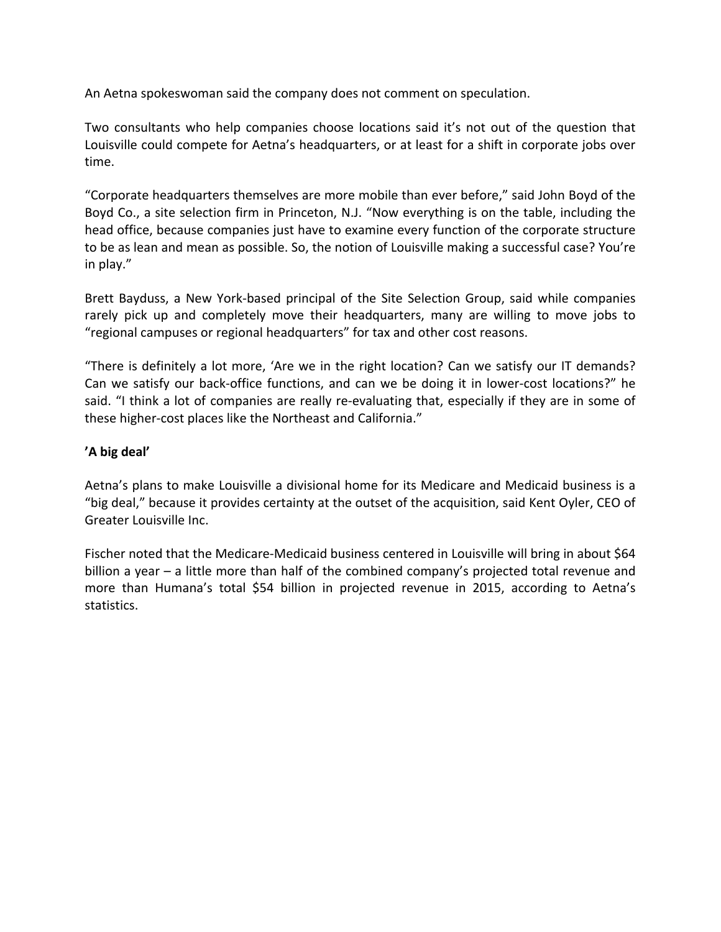An Aetna spokeswoman said the company does not comment on speculation.

Two consultants who help companies choose locations said it's not out of the question that Louisville could compete for Aetna's headquarters, or at least for a shift in corporate jobs over time.

"Corporate headquarters themselves are more mobile than ever before," said John Boyd of the Boyd Co., a site selection firm in Princeton, N.J. "Now everything is on the table, including the head office, because companies just have to examine every function of the corporate structure to be as lean and mean as possible. So, the notion of Louisville making a successful case? You're in play."

Brett Bayduss, a New York-based principal of the Site Selection Group, said while companies rarely pick up and completely move their headquarters, many are willing to move jobs to "regional campuses or regional headquarters" for tax and other cost reasons.

"There is definitely a lot more, 'Are we in the right location? Can we satisfy our IT demands? Can we satisfy our back‐office functions, and can we be doing it in lower‐cost locations?" he said. "I think a lot of companies are really re-evaluating that, especially if they are in some of these higher‐cost places like the Northeast and California."

## **'A big deal'**

Aetna's plans to make Louisville a divisional home for its Medicare and Medicaid business is a "big deal," because it provides certainty at the outset of the acquisition, said Kent Oyler, CEO of Greater Louisville Inc.

Fischer noted that the Medicare-Medicaid business centered in Louisville will bring in about \$64 billion a year – a little more than half of the combined company's projected total revenue and more than Humana's total \$54 billion in projected revenue in 2015, according to Aetna's statistics.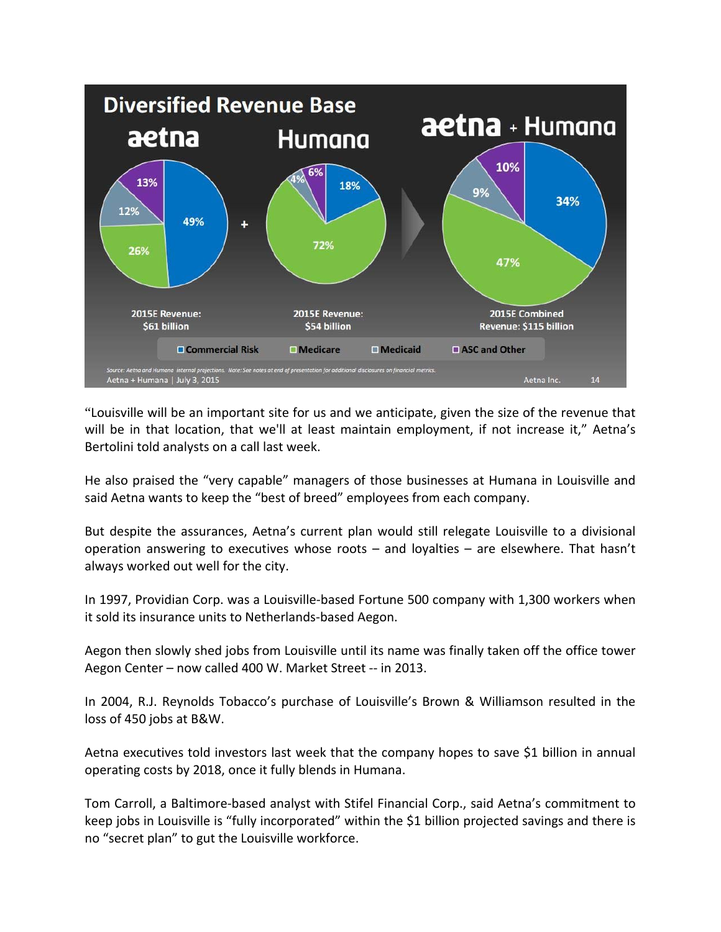

"Louisville will be an important site for us and we anticipate, given the size of the revenue that will be in that location, that we'll at least maintain employment, if not increase it," Aetna's Bertolini told analysts on a call last week.

He also praised the "very capable" managers of those businesses at Humana in Louisville and said Aetna wants to keep the "best of breed" employees from each company.

But despite the assurances, Aetna's current plan would still relegate Louisville to a divisional operation answering to executives whose roots – and loyalties – are elsewhere. That hasn't always worked out well for the city.

In 1997, Providian Corp. was a Louisville-based Fortune 500 company with 1,300 workers when it sold its insurance units to Netherlands‐based Aegon.

Aegon then slowly shed jobs from Louisville until its name was finally taken off the office tower Aegon Center – now called 400 W. Market Street ‐‐ in 2013.

In 2004, R.J. Reynolds Tobacco's purchase of Louisville's Brown & Williamson resulted in the loss of 450 jobs at B&W.

Aetna executives told investors last week that the company hopes to save \$1 billion in annual operating costs by 2018, once it fully blends in Humana.

Tom Carroll, a Baltimore‐based analyst with Stifel Financial Corp., said Aetna's commitment to keep jobs in Louisville is "fully incorporated" within the \$1 billion projected savings and there is no "secret plan" to gut the Louisville workforce.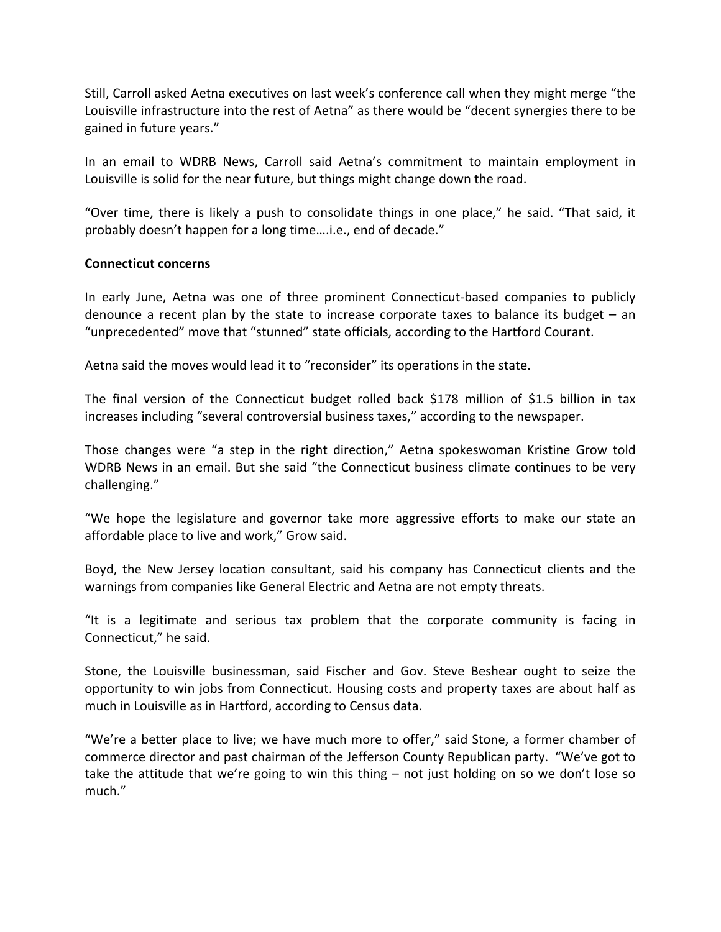Still, Carroll asked Aetna executives on last week's conference call when they might merge "the Louisville infrastructure into the rest of Aetna" as there would be "decent synergies there to be gained in future years."

In an email to WDRB News, Carroll said Aetna's commitment to maintain employment in Louisville is solid for the near future, but things might change down the road.

"Over time, there is likely a push to consolidate things in one place," he said. "That said, it probably doesn't happen for a long time….i.e., end of decade."

## **Connecticut concerns**

In early June, Aetna was one of three prominent Connecticut-based companies to publicly denounce a recent plan by the state to increase corporate taxes to balance its budget – an "unprecedented" move that "stunned" state officials, according to the Hartford Courant.

Aetna said the moves would lead it to "reconsider" its operations in the state.

The final version of the Connecticut budget rolled back \$178 million of \$1.5 billion in tax increases including "several controversial business taxes," according to the newspaper.

Those changes were "a step in the right direction," Aetna spokeswoman Kristine Grow told WDRB News in an email. But she said "the Connecticut business climate continues to be very challenging."

"We hope the legislature and governor take more aggressive efforts to make our state an affordable place to live and work," Grow said.

Boyd, the New Jersey location consultant, said his company has Connecticut clients and the warnings from companies like General Electric and Aetna are not empty threats.

"It is a legitimate and serious tax problem that the corporate community is facing in Connecticut," he said.

Stone, the Louisville businessman, said Fischer and Gov. Steve Beshear ought to seize the opportunity to win jobs from Connecticut. Housing costs and property taxes are about half as much in Louisville as in Hartford, according to Census data.

"We're a better place to live; we have much more to offer," said Stone, a former chamber of commerce director and past chairman of the Jefferson County Republican party. "We've got to take the attitude that we're going to win this thing – not just holding on so we don't lose so much."